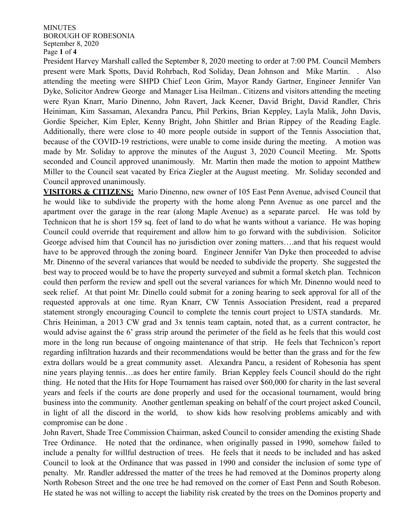## MINUTES BOROUGH OF ROBESONIA September 8, 2020 Page **1** of **4**

President Harvey Marshall called the September 8, 2020 meeting to order at 7:00 PM. Council Members present were Mark Spotts, David Rohrbach, Rod Soliday, Dean Johnson and Mike Martin. . Also attending the meeting were SHPD Chief Leon Grim, Mayor Randy Gartner, Engineer Jennifer Van Dyke, Solicitor Andrew George and Manager Lisa Heilman.. Citizens and visitors attending the meeting were Ryan Knarr, Mario Dinenno, John Ravert, Jack Keener, David Bright, David Randler, Chris Heiniman, Kim Sassaman, Alexandra Pancu, Phil Perkins, Brian Keppley, Layla Malik, John Davis, Gordie Speicher, Kim Epler, Kenny Bright, John Shittler and Brian Rippey of the Reading Eagle. Additionally, there were close to 40 more people outside in support of the Tennis Association that, because of the COVID-19 restrictions, were unable to come inside during the meeting. A motion was made by Mr. Soliday to approve the minutes of the August 3, 2020 Council Meeting. Mr. Spotts seconded and Council approved unanimously. Mr. Martin then made the motion to appoint Matthew Miller to the Council seat vacated by Erica Ziegler at the August meeting. Mr. Soliday seconded and Council approved unanimously.

**VISITORS & CITIZENS:** Mario Dinenno, new owner of 105 East Penn Avenue, advised Council that he would like to subdivide the property with the home along Penn Avenue as one parcel and the apartment over the garage in the rear (along Maple Avenue) as a separate parcel. He was told by Technicon that he is short 159 sq. feet of land to do what he wants without a variance. He was hoping Council could override that requirement and allow him to go forward with the subdivision. Solicitor George advised him that Council has no jurisdiction over zoning matters….and that his request would have to be approved through the zoning board. Engineer Jennifer Van Dyke then proceeded to advise Mr. Dinenno of the several variances that would be needed to subdivide the property. She suggested the best way to proceed would be to have the property surveyed and submit a formal sketch plan. Technicon could then perform the review and spell out the several variances for which Mr. Dinenno would need to seek relief. At that point Mr. Dinello could submit for a zoning hearing to seek approval for all of the requested approvals at one time. Ryan Knarr, CW Tennis Association President, read a prepared statement strongly encouraging Council to complete the tennis court project to USTA standards. Mr. Chris Heiniman, a 2013 CW grad and 3x tennis team captain, noted that, as a current contractor, he would advise against the 6' grass strip around the perimeter of the field as he feels that this would cost more in the long run because of ongoing maintenance of that strip. He feels that Technicon's report regarding infiltration hazards and their recommendations would be better than the grass and for the few extra dollars would be a great community asset. Alexandra Pancu, a resident of Robesonia has spent nine years playing tennis…as does her entire family. Brian Keppley feels Council should do the right thing. He noted that the Hits for Hope Tournament has raised over \$60,000 for charity in the last several years and feels if the courts are done properly and used for the occasional tournament, would bring business into the community. Another gentleman speaking on behalf of the court project asked Council, in light of all the discord in the world, to show kids how resolving problems amicably and with compromise can be done .

John Ravert, Shade Tree Commission Chairman, asked Council to consider amending the existing Shade Tree Ordinance. He noted that the ordinance, when originally passed in 1990, somehow failed to include a penalty for willful destruction of trees. He feels that it needs to be included and has asked Council to look at the Ordinance that was passed in 1990 and consider the inclusion of some type of penalty. Mr. Randler addressed the matter of the trees he had removed at the Dominos property along North Robeson Street and the one tree he had removed on the corner of East Penn and South Robeson. He stated he was not willing to accept the liability risk created by the trees on the Dominos property and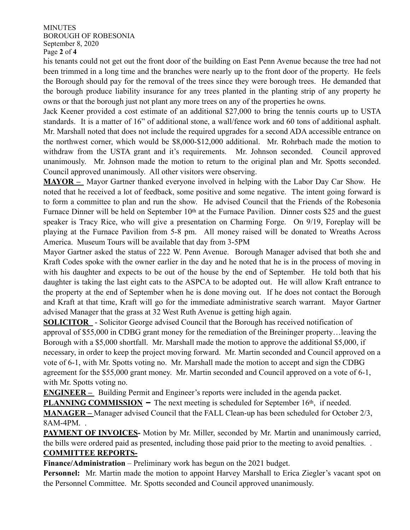MINUTES BOROUGH OF ROBESONIA September 8, 2020 Page **2** of **4**

his tenants could not get out the front door of the building on East Penn Avenue because the tree had not been trimmed in a long time and the branches were nearly up to the front door of the property. He feels the Borough should pay for the removal of the trees since they were borough trees. He demanded that the borough produce liability insurance for any trees planted in the planting strip of any property he owns or that the borough just not plant any more trees on any of the properties he owns.

Jack Keener provided a cost estimate of an additional \$27,000 to bring the tennis courts up to USTA standards. It is a matter of 16" of additional stone, a wall/fence work and 60 tons of additional asphalt. Mr. Marshall noted that does not include the required upgrades for a second ADA accessible entrance on the northwest corner, which would be \$8,000-\$12,000 additional. Mr. Rohrbach made the motion to withdraw from the USTA grant and it's requirements. Mr. Johnson seconded. Council approved unanimously. Mr. Johnson made the motion to return to the original plan and Mr. Spotts seconded. Council approved unanimously. All other visitors were observing.

**MAYOR –** Mayor Gartner thanked everyone involved in helping with the Labor Day Car Show. He noted that he received a lot of feedback, some positive and some negative. The intent going forward is to form a committee to plan and run the show. He advised Council that the Friends of the Robesonia Furnace Dinner will be held on September 10<sup>th</sup> at the Furnace Pavilion. Dinner costs \$25 and the guest speaker is Tracy Rice, who will give a presentation on Charming Forge. On 9/19, Foreplay will be playing at the Furnace Pavilion from 5-8 pm. All money raised will be donated to Wreaths Across America. Museum Tours will be available that day from 3-5PM

Mayor Gartner asked the status of 222 W. Penn Avenue. Borough Manager advised that both she and Kraft Codes spoke with the owner earlier in the day and he noted that he is in the process of moving in with his daughter and expects to be out of the house by the end of September. He told both that his daughter is taking the last eight cats to the ASPCA to be adopted out. He will allow Kraft entrance to the property at the end of September when he is done moving out. If he does not contact the Borough and Kraft at that time, Kraft will go for the immediate administrative search warrant. Mayor Gartner advised Manager that the grass at 32 West Ruth Avenue is getting high again.

**SOLICITOR** - Solicitor George advised Council that the Borough has received notification of approval of \$55,000 in CDBG grant money for the remediation of the Breininger property…leaving the Borough with a \$5,000 shortfall. Mr. Marshall made the motion to approve the additional \$5,000, if necessary, in order to keep the project moving forward. Mr. Martin seconded and Council approved on a vote of 6-1, with Mr. Spotts voting no. Mr. Marshall made the motion to accept and sign the CDBG agreement for the \$55,000 grant money. Mr. Martin seconded and Council approved on a vote of 6-1, with Mr. Spotts voting no.

**ENGINEER** – Building Permit and Engineer's reports were included in the agenda packet.

**PLANNING COMMISSION** – The next meeting is scheduled for September 16<sup>th</sup>, if needed.

**MANAGER –** Manager advised Council that the FALL Clean-up has been scheduled for October 2/3, 8AM-4PM. .

**PAYMENT OF INVOICES-** Motion by Mr. Miller, seconded by Mr. Martin and unanimously carried, the bills were ordered paid as presented, including those paid prior to the meeting to avoid penalties. . **COMMITTEE REPORTS-**

**Finance/Administration** – Preliminary work has begun on the 2021 budget.

**Personnel:** Mr. Martin made the motion to appoint Harvey Marshall to Erica Ziegler's vacant spot on the Personnel Committee. Mr. Spotts seconded and Council approved unanimously.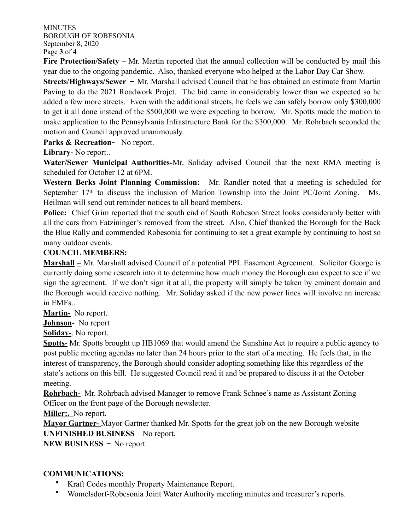MINUTES BOROUGH OF ROBESONIA September 8, 2020 Page **3** of **4**

**Fire Protection/Safety** – Mr. Martin reported that the annual collection will be conducted by mail this year due to the ongoing pandemic. Also, thanked everyone who helped at the Labor Day Car Show.

**Streets/Highways/Sewer** – Mr. Marshall advised Council that he has obtained an estimate from Martin Paving to do the 2021 Roadwork Projet. The bid came in considerably lower than we expected so he added a few more streets. Even with the additional streets, he feels we can safely borrow only \$300,000 to get it all done instead of the \$500,000 we were expecting to borrow. Mr. Spotts made the motion to make application to the Pennsylvania Infrastructure Bank for the \$300,000. Mr. Rohrbach seconded the motion and Council approved unanimously.

**Parks & Recreation**- No report.

**Library-** No report..

**Water/Sewer Municipal Authorities-**Mr. Soliday advised Council that the next RMA meeting is scheduled for October 12 at 6PM.

**Western Berks Joint Planning Commission:** Mr. Randler noted that a meeting is scheduled for September 17<sup>th</sup> to discuss the inclusion of Marion Township into the Joint PC/Joint Zoning. Ms. Heilman will send out reminder notices to all board members.

**Police:** Chief Grim reported that the south end of South Robeson Street looks considerably better with all the cars from Fatzininger's removed from the street. Also, Chief thanked the Borough for the Back the Blue Rally and commended Robesonia for continuing to set a great example by continuing to host so many outdoor events.

## **COUNCIL MEMBERS:**

**Marshall** – Mr. Marshall advised Council of a potential PPL Easement Agreement. Solicitor George is currently doing some research into it to determine how much money the Borough can expect to see if we sign the agreement. If we don't sign it at all, the property will simply be taken by eminent domain and the Borough would receive nothing. Mr. Soliday asked if the new power lines will involve an increase in EMFs..

**Martin-** No report.

**Johnson**- No report

**Soliday-**. No report.

**Spotts-** Mr. Spotts brought up HB1069 that would amend the Sunshine Act to require a public agency to post public meeting agendas no later than 24 hours prior to the start of a meeting. He feels that, in the interest of transparency, the Borough should consider adopting something like this regardless of the state's actions on this bill. He suggested Council read it and be prepared to discuss it at the October meeting.

**Rohrbach-** Mr. Rohrbach advised Manager to remove Frank Schnee's name as Assistant Zoning Officer on the front page of the Borough newsletter.

**Miller:.** No report.

**Mayor Gartner-** Mayor Gartner thanked Mr. Spotts for the great job on the new Borough website **UNFINISHED BUSINESS** – No report.

**NEW BUSINESS** – No report.

## **COMMUNICATIONS:**

- Kraft Codes monthly Property Maintenance Report.
- Womelsdorf-Robesonia Joint Water Authority meeting minutes and treasurer's reports.